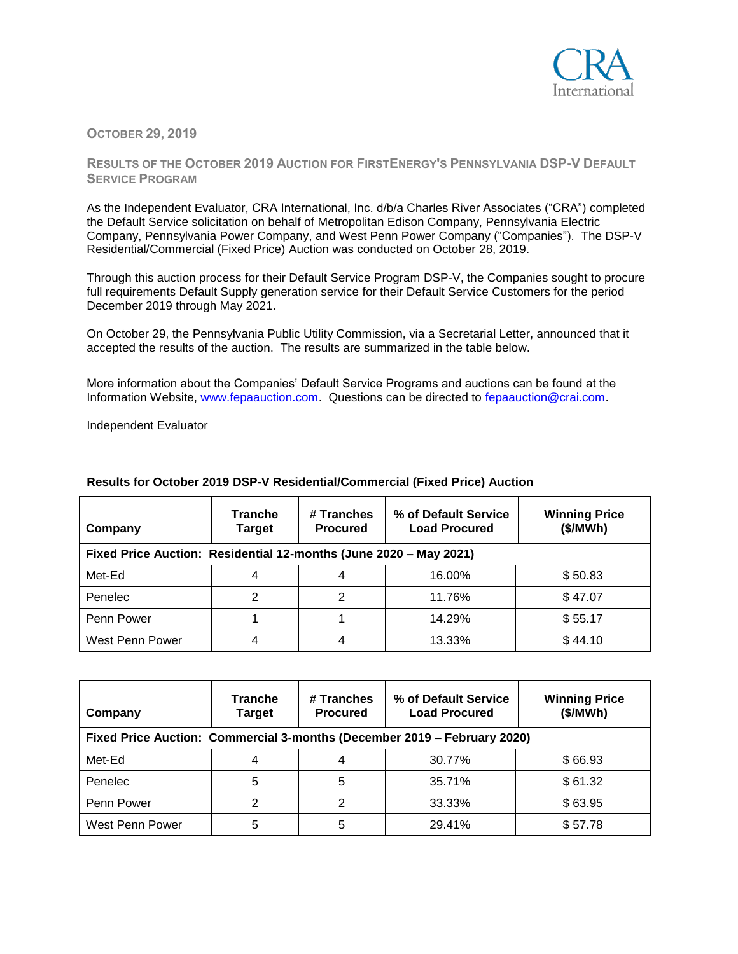

## **OCTOBER 29, 2019**

## **RESULTS OF THE OCTOBER 2019 AUCTION FOR FIRSTENERGY'S PENNSYLVANIA DSP-V DEFAULT SERVICE PROGRAM**

As the Independent Evaluator, CRA International, Inc. d/b/a Charles River Associates ("CRA") completed the Default Service solicitation on behalf of Metropolitan Edison Company, Pennsylvania Electric Company, Pennsylvania Power Company, and West Penn Power Company ("Companies"). The DSP-V Residential/Commercial (Fixed Price) Auction was conducted on October 28, 2019.

Through this auction process for their Default Service Program DSP-V, the Companies sought to procure full requirements Default Supply generation service for their Default Service Customers for the period December 2019 through May 2021.

On October 29, the Pennsylvania Public Utility Commission, via a Secretarial Letter, announced that it accepted the results of the auction. The results are summarized in the table below.

More information about the Companies' Default Service Programs and auctions can be found at the Information Website, [www.fepaauction.com.](http://www.fepaauction.com/) Questions can be directed to [fepaauction@crai.com.](mailto:fepaauction@crai.com)

Independent Evaluator

| Company                                                           | <b>Tranche</b><br>Target | # Tranches<br><b>Procured</b> | % of Default Service<br><b>Load Procured</b> | <b>Winning Price</b><br>(\$/MWh) |  |  |  |
|-------------------------------------------------------------------|--------------------------|-------------------------------|----------------------------------------------|----------------------------------|--|--|--|
| Fixed Price Auction: Residential 12-months (June 2020 - May 2021) |                          |                               |                                              |                                  |  |  |  |
| Met-Ed                                                            |                          |                               | 16.00%                                       | \$50.83                          |  |  |  |
| Penelec                                                           |                          |                               | 11.76%                                       | \$47.07                          |  |  |  |
| Penn Power                                                        |                          |                               | 14.29%                                       | \$55.17                          |  |  |  |
| West Penn Power                                                   |                          | 4                             | 13.33%                                       | \$44.10                          |  |  |  |

## **Results for October 2019 DSP-V Residential/Commercial (Fixed Price) Auction**

| Company         | <b>Tranche</b><br><b>Target</b> | # Tranches<br><b>Procured</b> | % of Default Service<br><b>Load Procured</b><br>Fixed Price Auction: Commercial 3-months (December 2019 - February 2020) | <b>Winning Price</b><br>(\$/MWh) |
|-----------------|---------------------------------|-------------------------------|--------------------------------------------------------------------------------------------------------------------------|----------------------------------|
| Met-Ed          | 4                               |                               | 30.77%                                                                                                                   | \$66.93                          |
| Penelec         | 5                               | 5                             | 35.71%                                                                                                                   | \$61.32                          |
| Penn Power      | 2                               | 2                             | 33.33%                                                                                                                   | \$63.95                          |
| West Penn Power | 5                               | 5                             | 29.41%                                                                                                                   | \$57.78                          |